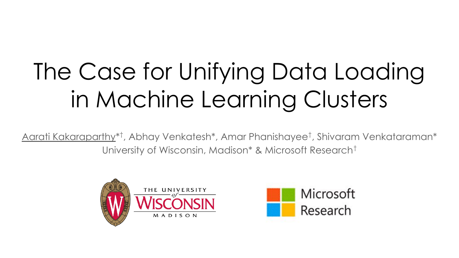# The Case for Unifying Data Loading in Machine Learning Clusters

Aarati Kakaraparthy\* † , Abhay Venkatesh\*, Amar Phanishayee† , Shivaram Venkataraman\* University of Wisconsin, Madison\* & Microsoft Research†



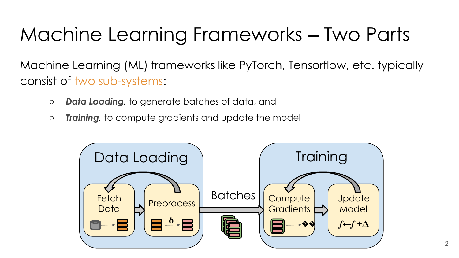### Machine Learning Frameworks ‒ Two Parts

Machine Learning (ML) frameworks like PyTorch, Tensorflow, etc. typically consist of two sub-systems:

- *○ Data Loading,* to generate batches of data, and
- *○ Training,* to compute gradients and update the model

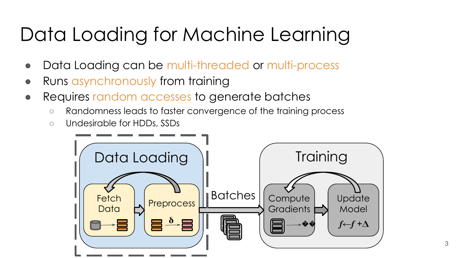#### Data Loading for Machine Learning

- Data Loading can be multi-threaded or multi-process
- Runs asynchronously from training
- Requires random accesses to generate batches
	- Randomness leads to faster convergence of the training process
	- Undesirable for HDDs, SSDs

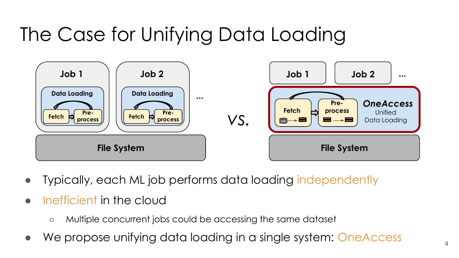### The Case for Unifying Data Loading



- Typically, each ML job performs data loading independently
- Inefficient in the cloud
	- Multiple concurrent jobs could be accessing the same dataset
- We propose unifying data loading in a single system: OneAccess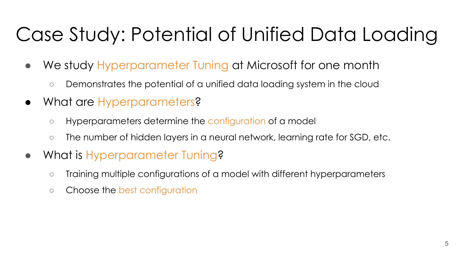## Case Study: Potential of Unified Data Loading

- We study Hyperparameter Tuning at Microsoft for one month
	- Demonstrates the potential of a unified data loading system in the cloud
- What are Hyperparameters?
	- Hyperparameters determine the configuration of a model
	- The number of hidden layers in a neural network, learning rate for SGD, etc.
- What is Hyperparameter Tuning?
	- Training multiple configurations of a model with different hyperparameters
	- Choose the best configuration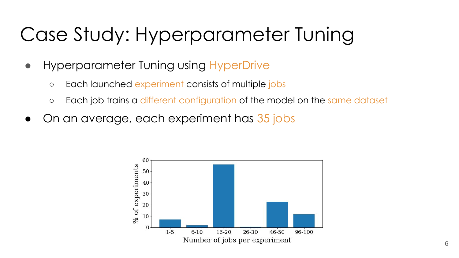#### Case Study: Hyperparameter Tuning

- Hyperparameter Tuning using HyperDrive
	- Each launched experiment consists of multiple jobs
	- o Each job trains a different configuration of the model on the same dataset
- On an average, each experiment has 35 jobs

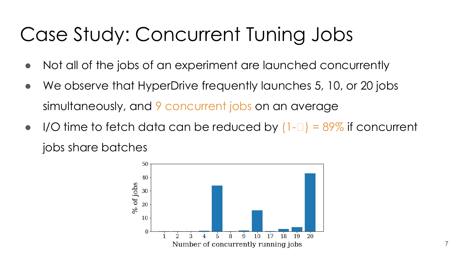#### Case Study: Concurrent Tuning Jobs

- Not all of the jobs of an experiment are launched concurrently
- We observe that HyperDrive frequently launches 5, 10, or 20 jobs simultaneously, and 9 concurrent jobs on an average
- $\bullet$  I/O time to fetch data can be reduced by  $(1-\Box) = 89\%$  if concurrent jobs share batches

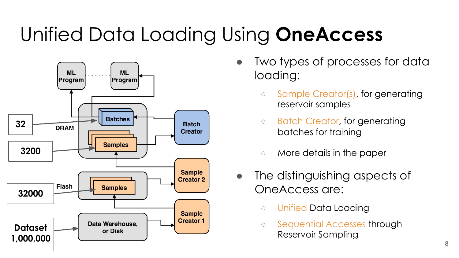## Unified Data Loading Using **OneAccess**



- Two types of processes for data loading:
	- Sample Creator(s), for generating reservoir samples
	- Batch Creator, for generating batches for training
	- More details in the paper
- The distinguishing aspects of OneAccess are:
	- Unified Data Loading
	- Sequential Accesses through Reservoir Sampling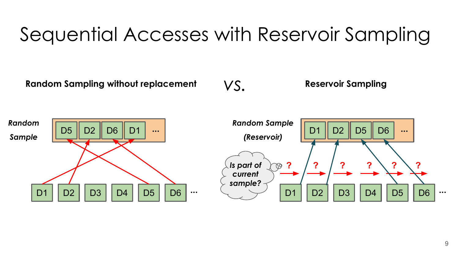#### Sequential Accesses with Reservoir Sampling

**Random Sampling without replacement**

*vs.* **Reservoir Sampling**

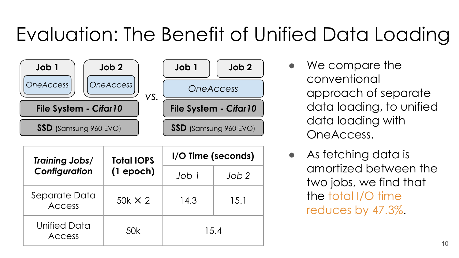#### Evaluation: The Benefit of Unified Data Loading



| Training Jobs/<br>Configuration | <b>Total IOPS</b><br>$(1$ epoch) | I/O Time (seconds) |                  |
|---------------------------------|----------------------------------|--------------------|------------------|
|                                 |                                  | Job 1              | Job <sub>2</sub> |
| Separate Data<br><b>Access</b>  | $50k \times 2$                   | 14.3               | 15.1             |
| Unified Data<br>Access          | 50k                              | 15.4               |                  |

- We compare the conventional approach of separate data loading, to unified data loading with OneAccess.
- As fetching data is amortized between the two jobs, we find that the total I/O time reduces by 47.3%.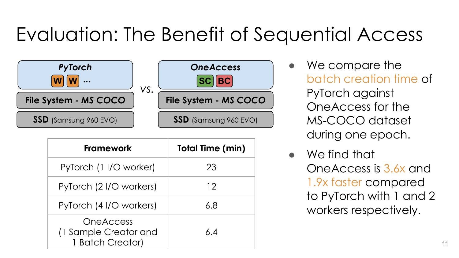#### Evaluation: The Benefit of Sequential Access



| <b>Framework</b>                                              | <b>Total Time (min)</b> |
|---------------------------------------------------------------|-------------------------|
| PyTorch (1 I/O worker)                                        | 23                      |
| PyTorch (21/O workers)                                        | 12                      |
| PyTorch (4 I/O workers)                                       | 6.8                     |
| <b>OneAccess</b><br>(1 Sample Creator and<br>1 Batch Creator) | 6.4                     |

- We compare the batch creation time of PyTorch against OneAccess for the MS-COCO dataset during one epoch.
- We find that OneAccess is 3.6x and 1.9x faster compared to PyTorch with 1 and 2 workers respectively.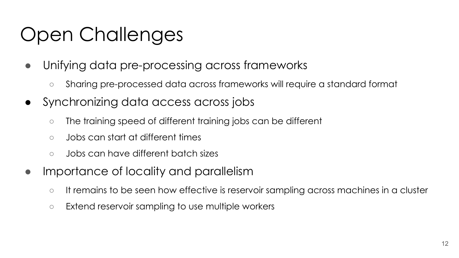#### Open Challenges

- Unifying data pre-processing across frameworks
	- Sharing pre-processed data across frameworks will require a standard format
- Synchronizing data access across jobs
	- The training speed of different training jobs can be different
	- Jobs can start at different times
	- Jobs can have different batch sizes
- Importance of locality and parallelism
	- It remains to be seen how effective is reservoir sampling across machines in a cluster
	- Extend reservoir sampling to use multiple workers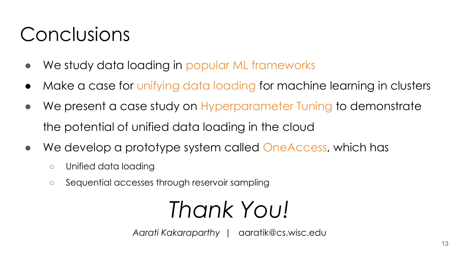#### Conclusions

- We study data loading in popular ML frameworks
- Make a case for unifying data loading for machine learning in clusters
- We present a case study on Hyperparameter Tuning to demonstrate the potential of unified data loading in the cloud
- We develop a prototype system called OneAccess, which has
	- Unified data loading
	- Sequential accesses through reservoir sampling

## *Thank You!*

*Aarati Kakaraparthy |* aaratik@cs.wisc.edu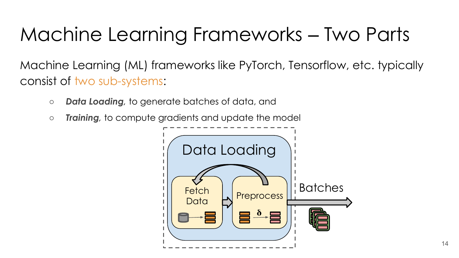### Machine Learning Frameworks ‒ Two Parts

Machine Learning (ML) frameworks like PyTorch, Tensorflow, etc. typically consist of two sub-systems:

- *○ Data Loading,* to generate batches of data, and
- *○ Training,* to compute gradients and update the model

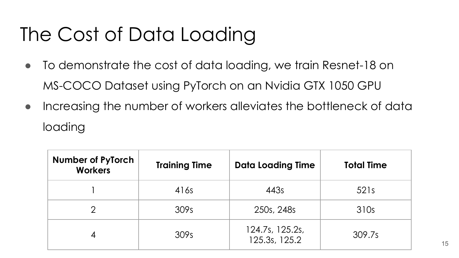### The Cost of Data Loading

- To demonstrate the cost of data loading, we train Resnet-18 on MS-COCO Dataset using PyTorch on an Nvidia GTX 1050 GPU
- Increasing the number of workers alleviates the bottleneck of data loading

| <b>Number of PyTorch</b><br><b>Workers</b> | <b>Training Time</b> | <b>Data Loading Time</b>         | <b>Total Time</b> |
|--------------------------------------------|----------------------|----------------------------------|-------------------|
|                                            | 416s                 | 443s                             | 521s              |
| ာ                                          | 309s                 | 250s, 248s                       | 310s              |
|                                            | 309s                 | 124.7s, 125.2s,<br>125.3s, 125.2 | 309.7s            |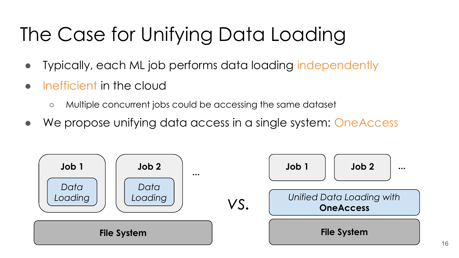## The Case for Unifying Data Loading

- Typically, each ML job performs data loading independently
- Inefficient in the cloud
	- Multiple concurrent jobs could be accessing the same dataset
- We propose unifying data access in a single system: OneAccess